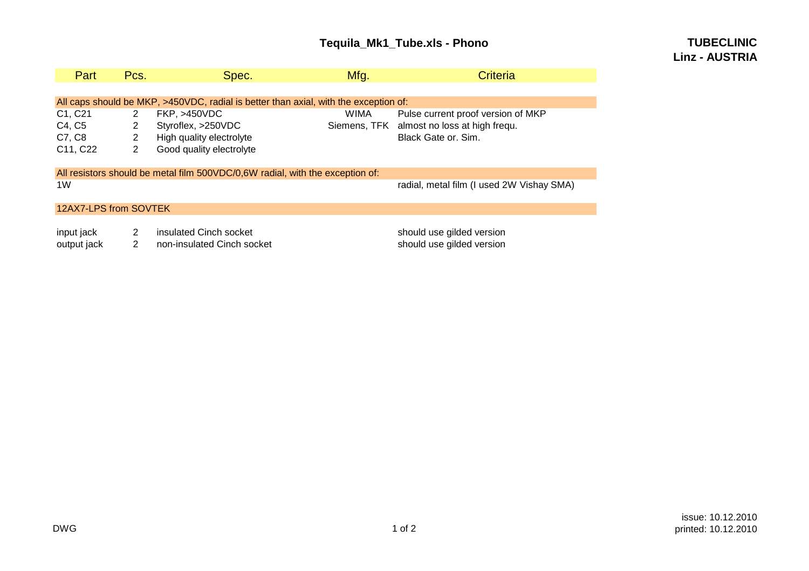# **Tequila\_Mk1\_Tube.xls - Phono**

## **TUBECLINICLinz - AUSTRIA**

| Part                                                                                 | Pcs.           | Spec.                      | Mfg.        | Criteria                                   |  |  |  |  |
|--------------------------------------------------------------------------------------|----------------|----------------------------|-------------|--------------------------------------------|--|--|--|--|
|                                                                                      |                |                            |             |                                            |  |  |  |  |
| All caps should be MKP, >450VDC, radial is better than axial, with the exception of: |                |                            |             |                                            |  |  |  |  |
| C1, C21                                                                              | $\overline{2}$ | <b>FKP, &gt;450VDC</b>     | <b>WIMA</b> | Pulse current proof version of MKP         |  |  |  |  |
| C4, C5                                                                               | 2              | Styroflex, >250VDC         |             | Siemens, TFK almost no loss at high frequ. |  |  |  |  |
| C7, C8                                                                               | $\overline{2}$ | High quality electrolyte   |             | Black Gate or. Sim.                        |  |  |  |  |
| C11, C22                                                                             | 2              | Good quality electrolyte   |             |                                            |  |  |  |  |
|                                                                                      |                |                            |             |                                            |  |  |  |  |
| All resistors should be metal film 500VDC/0,6W radial, with the exception of:        |                |                            |             |                                            |  |  |  |  |
| 1W                                                                                   |                |                            |             | radial, metal film (I used 2W Vishay SMA)  |  |  |  |  |
|                                                                                      |                |                            |             |                                            |  |  |  |  |
| 12AX7-LPS from SOVTEK                                                                |                |                            |             |                                            |  |  |  |  |
|                                                                                      |                |                            |             |                                            |  |  |  |  |
| input jack                                                                           | 2              | insulated Cinch socket     |             | should use gilded version                  |  |  |  |  |
| output jack                                                                          | 2              | non-insulated Cinch socket |             | should use gilded version                  |  |  |  |  |